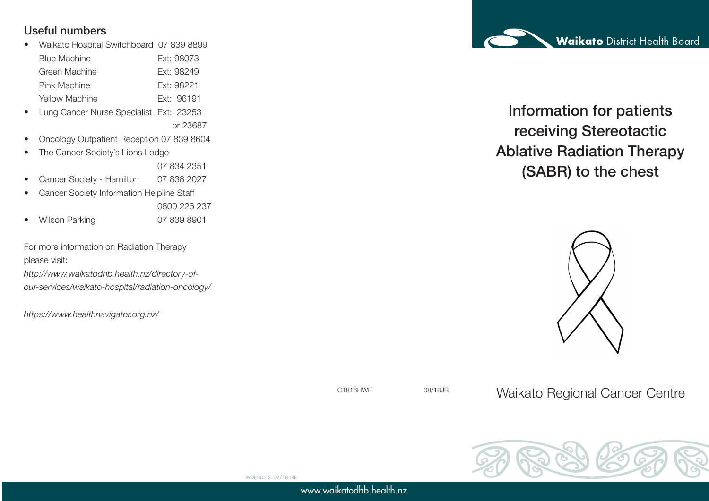### Useful numbers

• Waikato Hospital Switchboard 07 839 8899

| <b>Blue Machine</b> | <b>Ext: 98073</b> |
|---------------------|-------------------|
| Green Machine       | Fxt: 98249        |
| Pink Machine        | Fxt: 98221        |
| Yellow Machine      | Fxt: 96191        |

- Lung Cancer Nurse Specialist Ext: 23253 or 23687
- Oncology Outpatient Reception 07 839 8604
- The Cancer Society's Lions Lodge

07 834 2351

- Cancer Society Hamilton 07 838 2027
- Cancer Society Information Helpline Staff 0800 226 237
- Wilson Parking 07 839 8901

For more information on Radiation Therapy please visit:

*http://www.waikatodhb.health.nz/directory-ofour-services/waikato-hospital/radiation-oncology/*

*https://www.healthnavigator.org.nz/*

Information for patients receiving Stereotactic Ablative Radiation Therapy (SABR) to the chest



C1816HWF 08/18JB Waikato Regional Cancer Centre